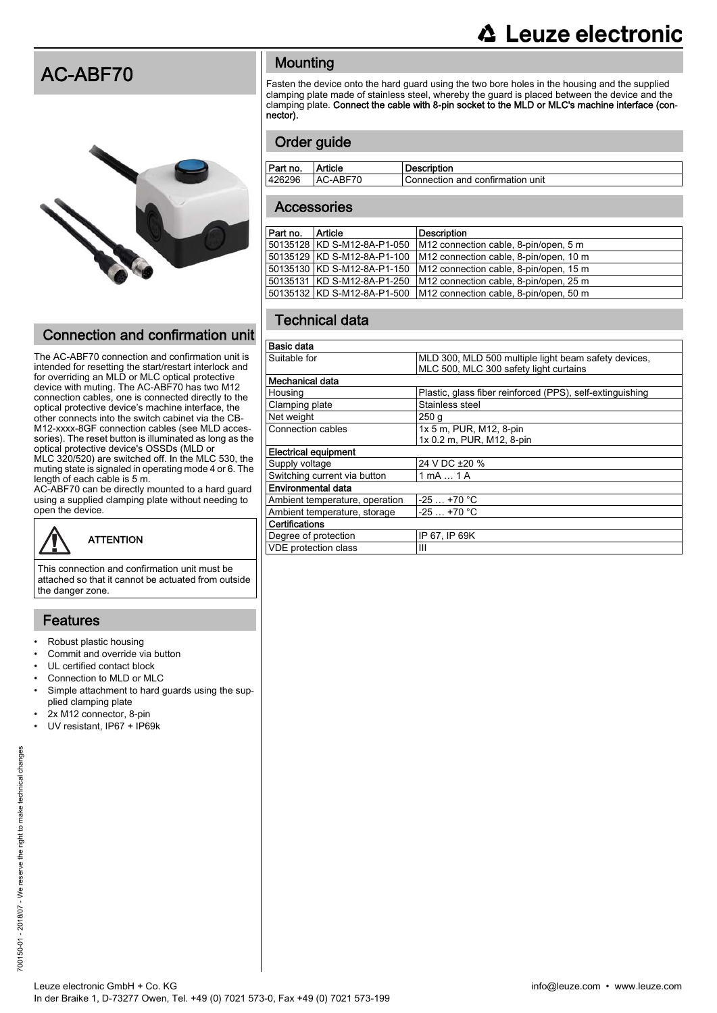### **△ Leuze electronic**

### AC-ABF70



### Connection and confirmation unit

The AC-ABF70 connection and confirmation unit is intended for resetting the start/restart interlock and for overriding an MLD or MLC optical protective device with muting. The AC-ABF70 has two M12 connection cables, one is connected directly to the optical protective device's machine interface, the other connects into the switch cabinet via the CB-M12-xxxx-8GF connection cables (see MLD accessories). The reset button is illuminated as long as the optical protective device's OSSDs (MLD or MLC 320/520) are switched off. In the MLC 530, the muting state is signaled in operating mode 4 or 6. The length of each cable is 5 m.

AC-ABF70 can be directly mounted to a hard guard using a supplied clamping plate without needing to open the device.

# **ATTENTION**

This connection and confirmation unit must be attached so that it cannot be actuated from outside the danger zone.

#### Features

- Robust plastic housing
- Commit and override via button
- UL certified contact block
- Connection to MLD or MLC
- Simple attachment to hard guards using the supplied clamping plate
- 2x M12 connector, 8-pin
- UV resistant, IP67 + IP69k

#### **Mounting**

Fasten the device onto the hard guard using the two bore holes in the housing and the supplied clamping plate made of stainless steel, whereby the guard is placed between the device and the clamping plate. Connect the cable with 8-pin socket to the MLD or MLC's machine interface (connector).

#### Order guide

| Part no. | Article  | Description                      |
|----------|----------|----------------------------------|
| 426296   | AC-ABF70 | Connection and confirmation unit |
|          |          |                                  |

#### **Accessories**

| Part no. | Article                     | <b>Description</b>                                 |
|----------|-----------------------------|----------------------------------------------------|
|          | 50135128 KD S-M12-8A-P1-050 | M <sub>12</sub> connection cable, 8-pin/open, 5 m  |
|          | 50135129 KD S-M12-8A-P1-100 | M <sub>12</sub> connection cable, 8-pin/open, 10 m |
|          | 50135130 KD S-M12-8A-P1-150 | M <sub>12</sub> connection cable, 8-pin/open, 15 m |
|          | 50135131 KD S-M12-8A-P1-250 | M <sub>12</sub> connection cable, 8-pin/open, 25 m |
|          | 50135132 KD S-M12-8A-P1-500 | M12 connection cable, 8-pin/open, 50 m             |
|          |                             |                                                    |

#### Technical data

| <b>Basic data</b>              |                                                           |  |  |  |  |
|--------------------------------|-----------------------------------------------------------|--|--|--|--|
| Suitable for                   | MLD 300, MLD 500 multiple light beam safety devices,      |  |  |  |  |
|                                | MLC 500, MLC 300 safety light curtains                    |  |  |  |  |
| Mechanical data                |                                                           |  |  |  |  |
| Housing                        | Plastic, glass fiber reinforced (PPS), self-extinguishing |  |  |  |  |
| Clamping plate                 | Stainless steel                                           |  |  |  |  |
| Net weight                     | 250 <sub>g</sub>                                          |  |  |  |  |
| Connection cables              | 1x 5 m, PUR, M12, 8-pin                                   |  |  |  |  |
|                                | 1x 0.2 m, PUR, M12, 8-pin                                 |  |  |  |  |
| <b>Electrical equipment</b>    |                                                           |  |  |  |  |
| Supply voltage                 | 24 V DC ±20 %                                             |  |  |  |  |
| Switching current via button   | $1 \text{ mA}  1 \text{ A}$                               |  |  |  |  |
| Environmental data             |                                                           |  |  |  |  |
| Ambient temperature, operation | $-25+70$ °C                                               |  |  |  |  |
| Ambient temperature, storage   | $-25+70$ °C                                               |  |  |  |  |
| l Certifications               |                                                           |  |  |  |  |
| Degree of protection           | IP 67, IP 69K                                             |  |  |  |  |
| <b>VDE</b> protection class    | Ш                                                         |  |  |  |  |